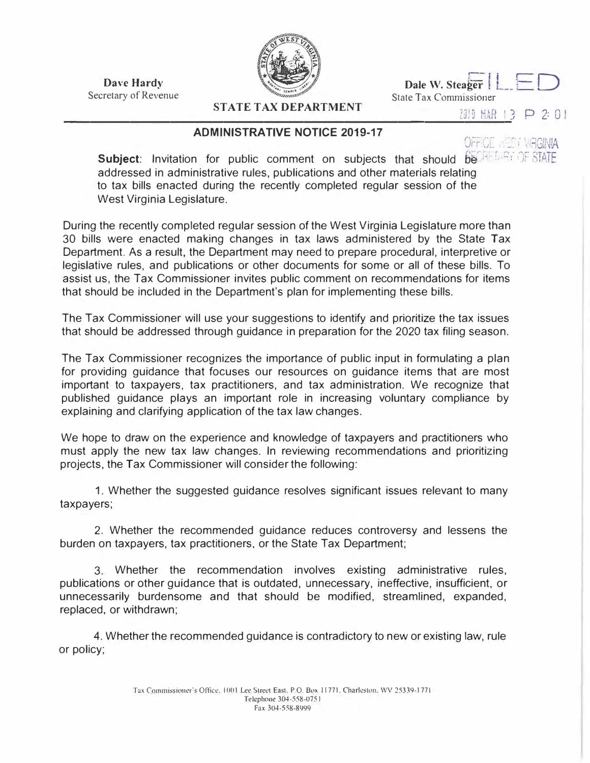**Dave Hardy**  Secretary of Revenue



Dale W. Steager LED State Tax Commissioner

**STATE TAX DEPARTMENT**  ----------------------------------

## 2019 NAR 13 P 2: 01

## **ADMINISTRATIVE NOTICE 2019-17**

OFFICE INTO MBGINIA

**Subject:** Invitation for public comment on subjects that should  $\frac{1}{100}$  of STATE addressed in administrative rules, publications and other materials relating to tax bills enacted during the recently completed regular session of the West Virginia Legislature.

During the recently completed regular session of the West Virginia Legislature more than 30 bills were enacted making changes in tax laws administered by the State Tax Department. As a result, the Department may need to prepare procedural, interpretive or legislative rules, and publications or other documents for some or all of these bills. To assist us, the Tax Commissioner invites public comment on recommendations for items that should be included in the Department's plan for implementing these bills.

The Tax Commissioner will use your suggestions to identify and prioritize the tax issues that should be addressed through guidance in preparation for the 2020 tax filing season.

The Tax Commissioner recognizes the importance of public input in formulating a plan for providing guidance that focuses our resources on guidance items that are most important to taxpayers, tax practitioners, and tax administration. We recognize that published guidance plays an important role in increasing voluntary compliance by explaining and clarifying application of the tax law changes.

We hope to draw on the experience and knowledge of taxpayers and practitioners who must apply the new tax law changes. In reviewing recommendations and prioritizing projects, the Tax Commissioner will consider the following:

1. Whether the suggested guidance resolves significant issues relevant to many taxpayers;

2. Whether the recommended guidance reduces controversy and lessens the burden on taxpayers, tax practitioners, or the State Tax Department;

3. Whether the recommendation involves existing administrative rules, publications or other guidance that is outdated, unnecessary, ineffective, insufficient, or unnecessarily burdensome and that should be modified, streamlined, expanded, replaced, or withdrawn;

4. Whether the recommended guidance is contradictory to new or existing law, rule or policy;